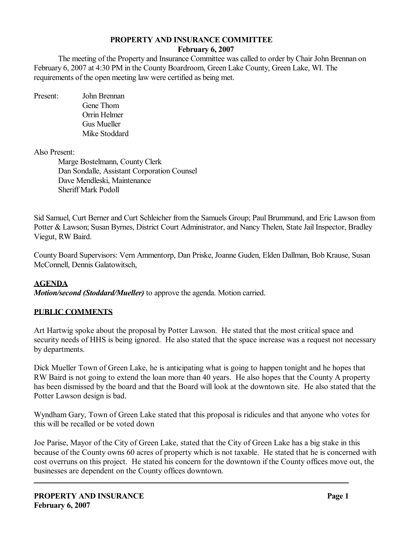#### **PROPERTY AND INSURANCE COMMITTEE**

#### **February 6, 2007**

The meeting of the Property and Insurance Committee was called to order by Chair John Brennan on February 6, 2007 at 4:30 PM in the County Boardroom, Green Lake County, Green Lake, WI. The requirements of the open meeting law were certified as being met.

Present: John Brennan Gene Thom Orrin Helmer Gus Mueller Mike Stoddard

Also Present:

Marge Bostelmann, County Clerk Dan Sondalle, Assistant Corporation Counsel Dave Mendleski, Maintenance Sheriff Mark Podoll

Sid Samuel, Curt Berner and Curt Schleicher from the Samuels Group; Paul Brummund, and Eric Lawson from Potter & Lawson; Susan Byrnes, District Court Administrator, and Nancy Thelen, State Jail Inspector, Bradley Viegut, RW Baird.

County Board Supervisors: Vern Ammentorp, Dan Priske, Joanne Guden, Elden Dallman, Bob Krause, Susan McConnell, Dennis Galatowitsch,

### **AGENDA**

*Motion/second (Stoddard/Mueller)* to approve the agenda. Motion carried.

### **PUBLIC COMMENTS**

Art Hartwig spoke about the proposal by Potter Lawson. He stated that the most critical space and security needs of HHS is being ignored. He also stated that the space increase was a request not necessary by departments.

Dick Mueller Town of Green Lake, he is anticipating what is going to happen tonight and he hopes that RW Baird is not going to extend the loan more than 40 years. He also hopes that the County A property has been dismissed by the board and that the Board will look at the downtown site. He also stated that the Potter Lawson design is bad.

Wyndham Gary, Town of Green Lake stated that this proposal is ridicules and that anyone who votes for this will be recalled or be voted down

Joe Parise, Mayor of the City of Green Lake, stated that the City of Green Lake has a big stake in this because of the County owns 60 acres of property which is not taxable. He stated that he is concerned with cost overruns on this project. He stated his concern for the downtown if the County offices move out, the businesses are dependent on the County offices downtown.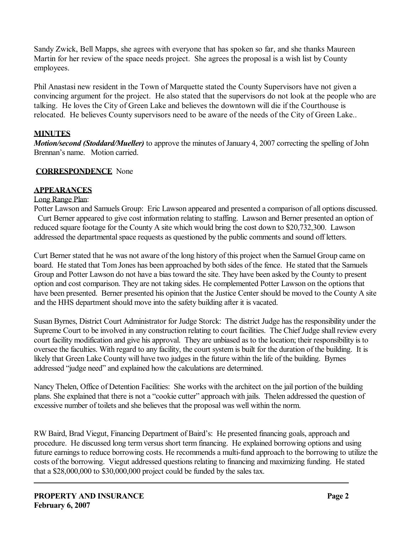Sandy Zwick, Bell Mapps, she agrees with everyone that has spoken so far, and she thanks Maureen Martin for her review of the space needs project. She agrees the proposal is a wish list by County employees.

Phil Anastasi new resident in the Town of Marquette stated the County Supervisors have not given a convincing argument for the project. He also stated that the supervisors do not look at the people who are talking. He loves the City of Green Lake and believes the downtown will die if the Courthouse is relocated. He believes County supervisors need to be aware of the needs of the City of Green Lake..

# **MINUTES**

*Motion/second (Stoddard/Mueller)* to approve the minutes of January 4, 2007 correcting the spelling of John Brennan's name. Motion carried.

# **CORRESPONDENCE** None

# **APPEARANCES**

# Long Range Plan:

Potter Lawson and Samuels Group: Eric Lawson appeared and presented a comparison of all options discussed. Curt Berner appeared to give cost information relating to staffing. Lawson and Berner presented an option of reduced square footage for the County A site which would bring the cost down to \$20,732,300. Lawson addressed the departmental space requests as questioned by the public comments and sound off letters.

Curt Berner stated that he was not aware of the long history of this project when the Samuel Group came on board. He stated that Tom Jones has been approached by both sides of the fence. He stated that the Samuels Group and Potter Lawson do not have a bias toward the site. They have been asked by the County to present option and cost comparison. They are not taking sides. He complemented Potter Lawson on the options that have been presented. Berner presented his opinion that the Justice Center should be moved to the County A site and the HHS department should move into the safety building after it is vacated.

Susan Byrnes, District Court Administrator for Judge Storck: The district Judge has the responsibility under the Supreme Court to be involved in any construction relating to court facilities. The Chief Judge shall review every court facility modification and give his approval. They are unbiased as to the location; their responsibility is to oversee the faculties. With regard to any facility, the court system is built for the duration of the building. It is likely that Green Lake County will have two judges in the future within the life of the building. Byrnes addressed "judge need" and explained how the calculations are determined.

Nancy Thelen, Office of Detention Facilities: She works with the architect on the jail portion of the building plans. She explained that there is not a "cookie cutter" approach with jails. Thelen addressed the question of excessive number of toilets and she believes that the proposal was well within the norm.

RW Baird, Brad Viegut, Financing Department of Baird's: He presented financing goals, approach and procedure. He discussed long term versus short term financing. He explained borrowing options and using future earnings to reduce borrowing costs. He recommends a multi-fund approach to the borrowing to utilize the costs of the borrowing. Viegut addressed questions relating to financing and maximizing funding. He stated that a \$28,000,000 to \$30,000,000 project could be funded by the sales tax.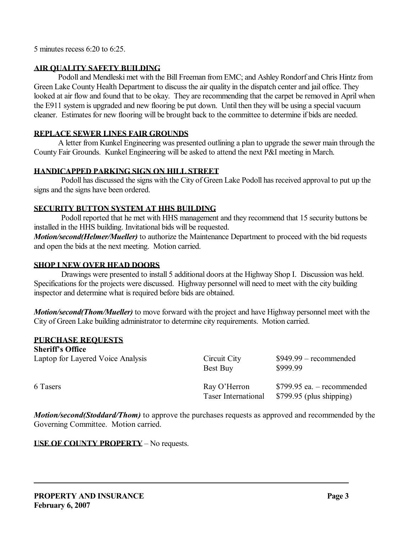5 minutes recess 6:20 to 6:25.

### **AIR QUALITY SAFETY BUILDING**

Podoll and Mendleski met with the Bill Freeman from EMC; and Ashley Rondorf and Chris Hintz from Green Lake County Health Department to discuss the air quality in the dispatch center and jail office. They looked at air flow and found that to be okay. They are recommending that the carpet be removed in April when the E911 system is upgraded and new flooring be put down. Until then they will be using a special vacuum cleaner. Estimates for new flooring will be brought back to the committee to determine if bids are needed.

# **REPLACE SEWER LINES FAIR GROUNDS**

A letter from Kunkel Engineering was presented outlining a plan to upgrade the sewer main through the County Fair Grounds. Kunkel Engineering will be asked to attend the next P&I meeting in March.

## **HANDICAPPED PARKING SIGN ON HILL STREET**

Podoll has discussed the signs with the City of Green Lake Podoll has received approval to put up the signs and the signs have been ordered.

## **SECURITY BUTTON SYSTEM AT HHS BUILDING**

Podoll reported that he met with HHS management and they recommend that 15 security buttons be installed in the HHS building. Invitational bids will be requested.

*Motion/second(Helmer/Mueller)* to authorize the Maintenance Department to proceed with the bid requests and open the bids at the next meeting. Motion carried.

### **SHOP I NEW OVER HEAD DOORS**

Drawings were presented to install 5 additional doors at the Highway Shop I. Discussion was held. Specifications for the projects were discussed. Highway personnel will need to meet with the city building inspector and determine what is required before bids are obtained.

*Motion/second(Thom/Mueller)* to move forward with the project and have Highway personnel meet with the City of Green Lake building administrator to determine city requirements. Motion carried.

# **PURCHASE REQUESTS**

**Sheriff's Office** Laptop for Layered Voice Analysis Circuit City \$949.99 – recommended Best Buy \$999.99 6 Tasers Ray O'Herron \$799.95 ea. – recommended Taser International \$799.95 (plus shipping)

*Motion/second(Stoddard/Thom)* to approve the purchases requests as approved and recommended by the Governing Committee. Motion carried.

**USE OF COUNTY PROPERTY** – No requests.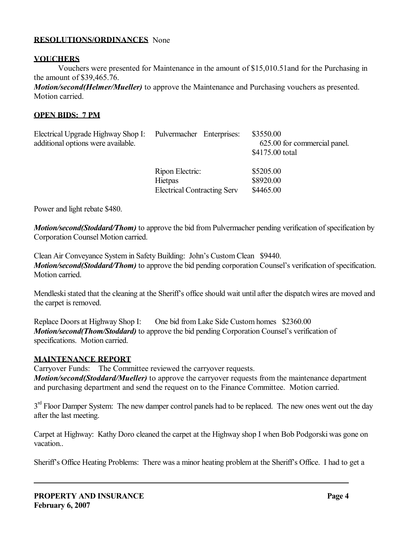#### **RESOLUTIONS/ORDINANCES** None

#### **VOUCHERS**

Vouchers were presented for Maintenance in the amount of \$15,010.51and for the Purchasing in the amount of \$39,465.76.

*Motion/second(Helmer/Mueller)* to approve the Maintenance and Purchasing vouchers as presented. Motion carried.

#### **OPEN BIDS: 7 PM**

| Electrical Upgrade Highway Shop I:<br>additional options were available. | Pulvermacher Enterprises:                                               | \$3550.00<br>625.00 for commercial panel.<br>\$4175.00 total |
|--------------------------------------------------------------------------|-------------------------------------------------------------------------|--------------------------------------------------------------|
|                                                                          | Ripon Electric:<br><b>Hietpas</b><br><b>Electrical Contracting Serv</b> | \$5205.00<br>\$8920.00<br>\$4465.00                          |

Power and light rebate \$480.

*Motion/second(Stoddard/Thom)* to approve the bid from Pulvermacher pending verification of specification by Corporation Counsel Motion carried.

Clean Air Conveyance System in Safety Building: John's Custom Clean \$9440. *Motion/second(Stoddard/Thom)* to approve the bid pending corporation Counsel's verification of specification. Motion carried.

Mendleski stated that the cleaning at the Sheriff's office should wait until after the dispatch wires are moved and the carpet is removed.

Replace Doors at Highway Shop I: One bid from Lake Side Custom homes \$2360.00 *Motion/second(Thom/Stoddard)* to approve the bid pending Corporation Counsel's verification of specifications. Motion carried.

### **MAINTENANCE REPORT**

Carryover Funds: The Committee reviewed the carryover requests.

*Motion/second(Stoddard/Mueller)* to approve the carryover requests from the maintenance department and purchasing department and send the request on to the Finance Committee. Motion carried.

3<sup>rd</sup> Floor Damper System: The new damper control panels had to be replaced. The new ones went out the day after the last meeting.

Carpet at Highway: Kathy Doro cleaned the carpet at the Highway shop I when Bob Podgorski was gone on vacation..

Sheriff's Office Heating Problems: There was a minor heating problem at the Sheriff's Office. I had to get a